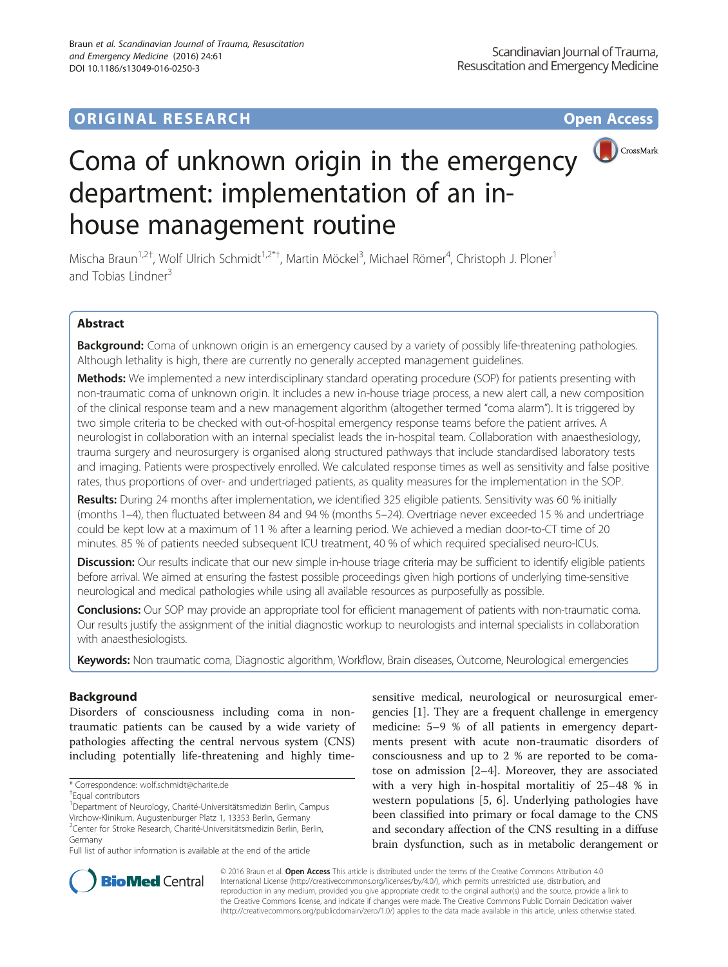# **ORIGINAL RESEARCH CONSUMING ACCESS**



# Coma of unknown origin in the emergency department: implementation of an inhouse management routine

Mischa Braun<sup>1,2†</sup>, Wolf Ulrich Schmidt<sup>1,2\*†</sup>, Martin Möckel<sup>3</sup>, Michael Römer<sup>4</sup>, Christoph J. Ploner<sup>1</sup> and Tobias Lindner<sup>3</sup>

# Abstract

Background: Coma of unknown origin is an emergency caused by a variety of possibly life-threatening pathologies. Although lethality is high, there are currently no generally accepted management guidelines.

Methods: We implemented a new interdisciplinary standard operating procedure (SOP) for patients presenting with non-traumatic coma of unknown origin. It includes a new in-house triage process, a new alert call, a new composition of the clinical response team and a new management algorithm (altogether termed "coma alarm"). It is triggered by two simple criteria to be checked with out-of-hospital emergency response teams before the patient arrives. A neurologist in collaboration with an internal specialist leads the in-hospital team. Collaboration with anaesthesiology, trauma surgery and neurosurgery is organised along structured pathways that include standardised laboratory tests and imaging. Patients were prospectively enrolled. We calculated response times as well as sensitivity and false positive rates, thus proportions of over- and undertriaged patients, as quality measures for the implementation in the SOP.

Results: During 24 months after implementation, we identified 325 eligible patients. Sensitivity was 60 % initially (months 1–4), then fluctuated between 84 and 94 % (months 5–24). Overtriage never exceeded 15 % and undertriage could be kept low at a maximum of 11 % after a learning period. We achieved a median door-to-CT time of 20 minutes. 85 % of patients needed subsequent ICU treatment, 40 % of which required specialised neuro-ICUs.

Discussion: Our results indicate that our new simple in-house triage criteria may be sufficient to identify eligible patients before arrival. We aimed at ensuring the fastest possible proceedings given high portions of underlying time-sensitive neurological and medical pathologies while using all available resources as purposefully as possible.

Conclusions: Our SOP may provide an appropriate tool for efficient management of patients with non-traumatic coma. Our results justify the assignment of the initial diagnostic workup to neurologists and internal specialists in collaboration with anaesthesiologists.

Keywords: Non traumatic coma, Diagnostic algorithm, Workflow, Brain diseases, Outcome, Neurological emergencies

# Background

Disorders of consciousness including coma in nontraumatic patients can be caused by a wide variety of pathologies affecting the central nervous system (CNS) including potentially life-threatening and highly time-

<sup>1</sup>Department of Neurology, Charité-Universitätsmedizin Berlin, Campus Virchow-Klinikum, Augustenburger Platz 1, 13353 Berlin, Germany 2 Center for Stroke Research, Charité-Universitätsmedizin Berlin, Berlin,

Germany Full list of author information is available at the end of the article



© 2016 Braun et al. Open Access This article is distributed under the terms of the Creative Commons Attribution 4.0 International License [\(http://creativecommons.org/licenses/by/4.0/](http://creativecommons.org/licenses/by/4.0/)), which permits unrestricted use, distribution, and reproduction in any medium, provided you give appropriate credit to the original author(s) and the source, provide a link to the Creative Commons license, and indicate if changes were made. The Creative Commons Public Domain Dedication waiver [\(http://creativecommons.org/publicdomain/zero/1.0/](http://creativecommons.org/publicdomain/zero/1.0/)) applies to the data made available in this article, unless otherwise stated.

<sup>\*</sup> Correspondence: [wolf.schmidt@charite.de](mailto:wolf.schmidt@charite.de) †

Equal contributors

sensitive medical, neurological or neurosurgical emergencies [\[1](#page-6-0)]. They are a frequent challenge in emergency medicine: 5–9 % of all patients in emergency departments present with acute non-traumatic disorders of consciousness and up to 2 % are reported to be comatose on admission [\[2](#page-6-0)–[4](#page-6-0)]. Moreover, they are associated with a very high in-hospital mortalitiy of 25–48 % in western populations [\[5](#page-7-0), [6](#page-7-0)]. Underlying pathologies have been classified into primary or focal damage to the CNS and secondary affection of the CNS resulting in a diffuse brain dysfunction, such as in metabolic derangement or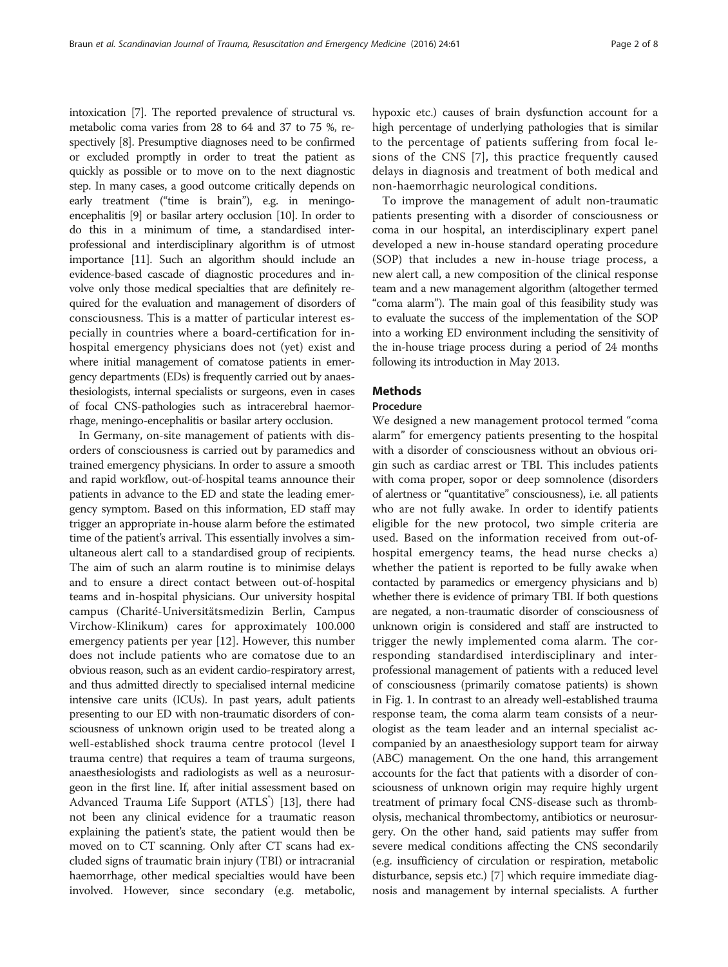intoxication [\[7\]](#page-7-0). The reported prevalence of structural vs. metabolic coma varies from 28 to 64 and 37 to 75 %, respectively [\[8\]](#page-7-0). Presumptive diagnoses need to be confirmed or excluded promptly in order to treat the patient as quickly as possible or to move on to the next diagnostic step. In many cases, a good outcome critically depends on early treatment ("time is brain"), e.g. in meningoencephalitis [\[9](#page-7-0)] or basilar artery occlusion [\[10](#page-7-0)]. In order to do this in a minimum of time, a standardised interprofessional and interdisciplinary algorithm is of utmost importance [\[11\]](#page-7-0). Such an algorithm should include an evidence-based cascade of diagnostic procedures and involve only those medical specialties that are definitely required for the evaluation and management of disorders of consciousness. This is a matter of particular interest especially in countries where a board-certification for inhospital emergency physicians does not (yet) exist and where initial management of comatose patients in emergency departments (EDs) is frequently carried out by anaesthesiologists, internal specialists or surgeons, even in cases of focal CNS-pathologies such as intracerebral haemorrhage, meningo-encephalitis or basilar artery occlusion.

In Germany, on-site management of patients with disorders of consciousness is carried out by paramedics and trained emergency physicians. In order to assure a smooth and rapid workflow, out-of-hospital teams announce their patients in advance to the ED and state the leading emergency symptom. Based on this information, ED staff may trigger an appropriate in-house alarm before the estimated time of the patient's arrival. This essentially involves a simultaneous alert call to a standardised group of recipients. The aim of such an alarm routine is to minimise delays and to ensure a direct contact between out-of-hospital teams and in-hospital physicians. Our university hospital campus (Charité-Universitätsmedizin Berlin, Campus Virchow-Klinikum) cares for approximately 100.000 emergency patients per year [[12\]](#page-7-0). However, this number does not include patients who are comatose due to an obvious reason, such as an evident cardio-respiratory arrest, and thus admitted directly to specialised internal medicine intensive care units (ICUs). In past years, adult patients presenting to our ED with non-traumatic disorders of consciousness of unknown origin used to be treated along a well-established shock trauma centre protocol (level I trauma centre) that requires a team of trauma surgeons, anaesthesiologists and radiologists as well as a neurosurgeon in the first line. If, after initial assessment based on Advanced Trauma Life Support (ATLS<sup>®</sup>) [[13](#page-7-0)], there had not been any clinical evidence for a traumatic reason explaining the patient's state, the patient would then be moved on to CT scanning. Only after CT scans had excluded signs of traumatic brain injury (TBI) or intracranial haemorrhage, other medical specialties would have been involved. However, since secondary (e.g. metabolic, hypoxic etc.) causes of brain dysfunction account for a high percentage of underlying pathologies that is similar to the percentage of patients suffering from focal lesions of the CNS [[7](#page-7-0)], this practice frequently caused delays in diagnosis and treatment of both medical and non-haemorrhagic neurological conditions.

To improve the management of adult non-traumatic patients presenting with a disorder of consciousness or coma in our hospital, an interdisciplinary expert panel developed a new in-house standard operating procedure (SOP) that includes a new in-house triage process, a new alert call, a new composition of the clinical response team and a new management algorithm (altogether termed "coma alarm"). The main goal of this feasibility study was to evaluate the success of the implementation of the SOP into a working ED environment including the sensitivity of the in-house triage process during a period of 24 months following its introduction in May 2013.

# **Methods**

# Procedure

We designed a new management protocol termed "coma alarm" for emergency patients presenting to the hospital with a disorder of consciousness without an obvious origin such as cardiac arrest or TBI. This includes patients with coma proper, sopor or deep somnolence (disorders of alertness or "quantitative" consciousness), i.e. all patients who are not fully awake. In order to identify patients eligible for the new protocol, two simple criteria are used. Based on the information received from out-ofhospital emergency teams, the head nurse checks a) whether the patient is reported to be fully awake when contacted by paramedics or emergency physicians and b) whether there is evidence of primary TBI. If both questions are negated, a non-traumatic disorder of consciousness of unknown origin is considered and staff are instructed to trigger the newly implemented coma alarm. The corresponding standardised interdisciplinary and interprofessional management of patients with a reduced level of consciousness (primarily comatose patients) is shown in Fig. [1](#page-2-0). In contrast to an already well-established trauma response team, the coma alarm team consists of a neurologist as the team leader and an internal specialist accompanied by an anaesthesiology support team for airway (ABC) management. On the one hand, this arrangement accounts for the fact that patients with a disorder of consciousness of unknown origin may require highly urgent treatment of primary focal CNS-disease such as thrombolysis, mechanical thrombectomy, antibiotics or neurosurgery. On the other hand, said patients may suffer from severe medical conditions affecting the CNS secondarily (e.g. insufficiency of circulation or respiration, metabolic disturbance, sepsis etc.) [[7](#page-7-0)] which require immediate diagnosis and management by internal specialists. A further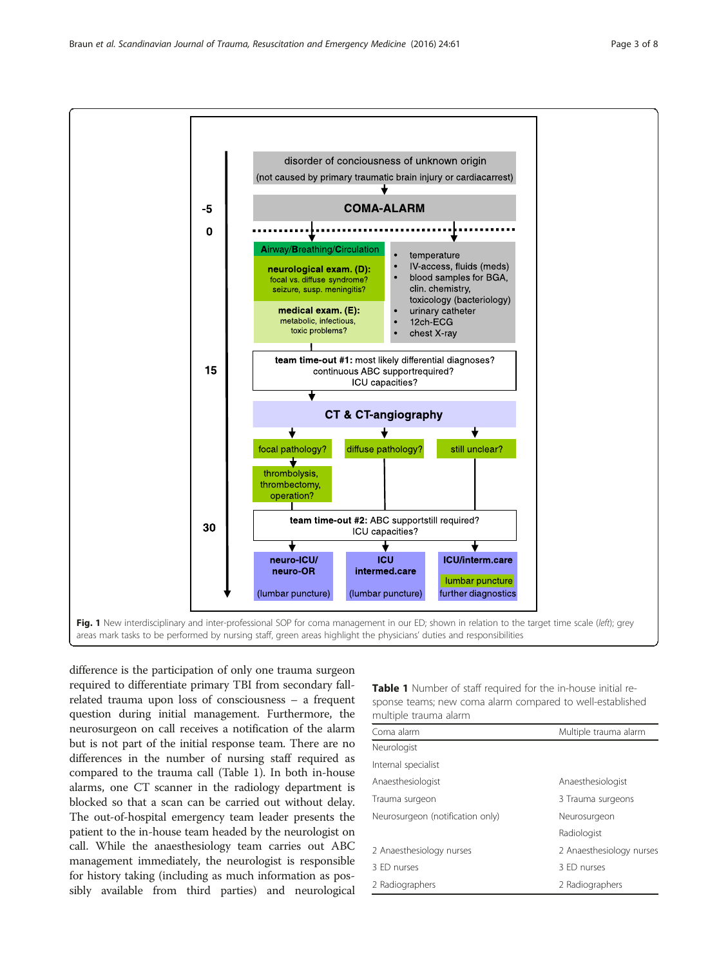<span id="page-2-0"></span>

difference is the participation of only one trauma surgeon required to differentiate primary TBI from secondary fallrelated trauma upon loss of consciousness – a frequent question during initial management. Furthermore, the neurosurgeon on call receives a notification of the alarm but is not part of the initial response team. There are no differences in the number of nursing staff required as compared to the trauma call (Table 1). In both in-house alarms, one CT scanner in the radiology department is blocked so that a scan can be carried out without delay. The out-of-hospital emergency team leader presents the patient to the in-house team headed by the neurologist on call. While the anaesthesiology team carries out ABC management immediately, the neurologist is responsible for history taking (including as much information as possibly available from third parties) and neurological

Table 1 Number of staff required for the in-house initial response teams; new coma alarm compared to well-established multiple trauma alarm

| Coma alarm                       | Multiple trauma alarm    |  |
|----------------------------------|--------------------------|--|
| Neurologist                      |                          |  |
| Internal specialist              |                          |  |
| Anaesthesiologist                | Anaesthesiologist        |  |
| Trauma surgeon                   | 3 Trauma surgeons        |  |
| Neurosurgeon (notification only) | Neurosurgeon             |  |
|                                  | Radiologist              |  |
| 2 Anaesthesiology nurses         | 2 Anaesthesiology nurses |  |
| 3 ED nurses                      | 3 ED nurses              |  |
| 2 Radiographers                  | 2 Radiographers          |  |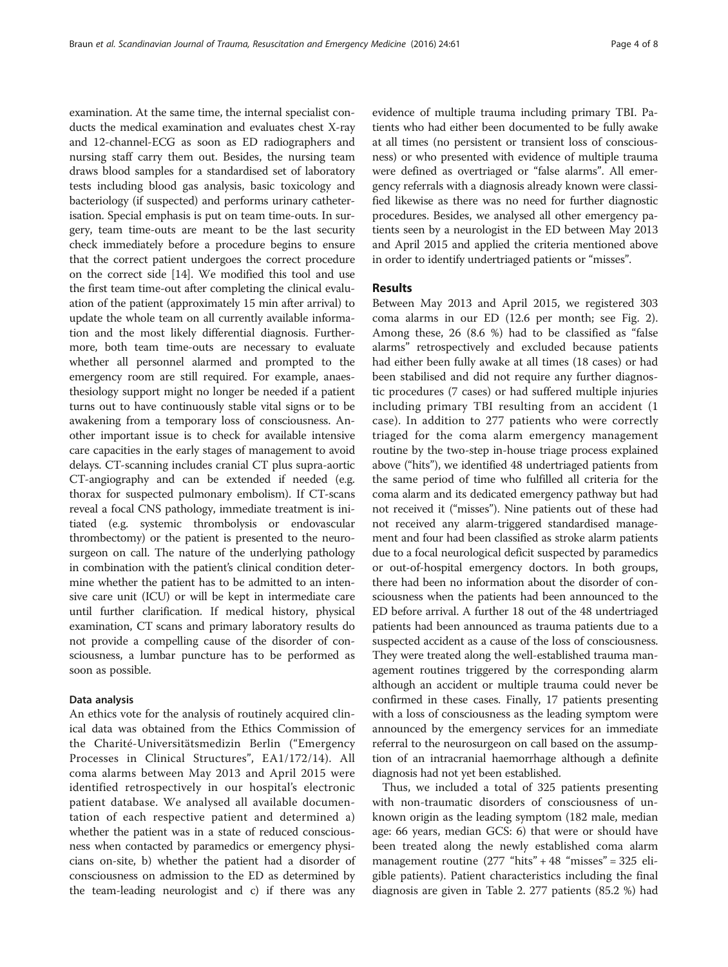examination. At the same time, the internal specialist conducts the medical examination and evaluates chest X-ray and 12-channel-ECG as soon as ED radiographers and nursing staff carry them out. Besides, the nursing team draws blood samples for a standardised set of laboratory tests including blood gas analysis, basic toxicology and bacteriology (if suspected) and performs urinary catheterisation. Special emphasis is put on team time-outs. In surgery, team time-outs are meant to be the last security check immediately before a procedure begins to ensure that the correct patient undergoes the correct procedure on the correct side [\[14](#page-7-0)]. We modified this tool and use the first team time-out after completing the clinical evaluation of the patient (approximately 15 min after arrival) to update the whole team on all currently available information and the most likely differential diagnosis. Furthermore, both team time-outs are necessary to evaluate whether all personnel alarmed and prompted to the emergency room are still required. For example, anaesthesiology support might no longer be needed if a patient turns out to have continuously stable vital signs or to be awakening from a temporary loss of consciousness. Another important issue is to check for available intensive care capacities in the early stages of management to avoid delays. CT-scanning includes cranial CT plus supra-aortic CT-angiography and can be extended if needed (e.g. thorax for suspected pulmonary embolism). If CT-scans reveal a focal CNS pathology, immediate treatment is initiated (e.g. systemic thrombolysis or endovascular thrombectomy) or the patient is presented to the neurosurgeon on call. The nature of the underlying pathology in combination with the patient's clinical condition determine whether the patient has to be admitted to an intensive care unit (ICU) or will be kept in intermediate care until further clarification. If medical history, physical examination, CT scans and primary laboratory results do not provide a compelling cause of the disorder of consciousness, a lumbar puncture has to be performed as soon as possible.

#### Data analysis

An ethics vote for the analysis of routinely acquired clinical data was obtained from the Ethics Commission of the Charité-Universitätsmedizin Berlin ("Emergency Processes in Clinical Structures", EA1/172/14). All coma alarms between May 2013 and April 2015 were identified retrospectively in our hospital's electronic patient database. We analysed all available documentation of each respective patient and determined a) whether the patient was in a state of reduced consciousness when contacted by paramedics or emergency physicians on-site, b) whether the patient had a disorder of consciousness on admission to the ED as determined by the team-leading neurologist and c) if there was any

evidence of multiple trauma including primary TBI. Patients who had either been documented to be fully awake at all times (no persistent or transient loss of consciousness) or who presented with evidence of multiple trauma were defined as overtriaged or "false alarms". All emergency referrals with a diagnosis already known were classified likewise as there was no need for further diagnostic procedures. Besides, we analysed all other emergency patients seen by a neurologist in the ED between May 2013 and April 2015 and applied the criteria mentioned above in order to identify undertriaged patients or "misses".

#### Results

Between May 2013 and April 2015, we registered 303 coma alarms in our ED (12.6 per month; see Fig. [2](#page-4-0)). Among these, 26 (8.6 %) had to be classified as "false alarms" retrospectively and excluded because patients had either been fully awake at all times (18 cases) or had been stabilised and did not require any further diagnostic procedures (7 cases) or had suffered multiple injuries including primary TBI resulting from an accident (1 case). In addition to 277 patients who were correctly triaged for the coma alarm emergency management routine by the two-step in-house triage process explained above ("hits"), we identified 48 undertriaged patients from the same period of time who fulfilled all criteria for the coma alarm and its dedicated emergency pathway but had not received it ("misses"). Nine patients out of these had not received any alarm-triggered standardised management and four had been classified as stroke alarm patients due to a focal neurological deficit suspected by paramedics or out-of-hospital emergency doctors. In both groups, there had been no information about the disorder of consciousness when the patients had been announced to the ED before arrival. A further 18 out of the 48 undertriaged patients had been announced as trauma patients due to a suspected accident as a cause of the loss of consciousness. They were treated along the well-established trauma management routines triggered by the corresponding alarm although an accident or multiple trauma could never be confirmed in these cases. Finally, 17 patients presenting with a loss of consciousness as the leading symptom were announced by the emergency services for an immediate referral to the neurosurgeon on call based on the assumption of an intracranial haemorrhage although a definite diagnosis had not yet been established.

Thus, we included a total of 325 patients presenting with non-traumatic disorders of consciousness of unknown origin as the leading symptom (182 male, median age: 66 years, median GCS: 6) that were or should have been treated along the newly established coma alarm management routine  $(277$  "hits" + 48 "misses" = 325 eligible patients). Patient characteristics including the final diagnosis are given in Table [2.](#page-4-0) 277 patients (85.2 %) had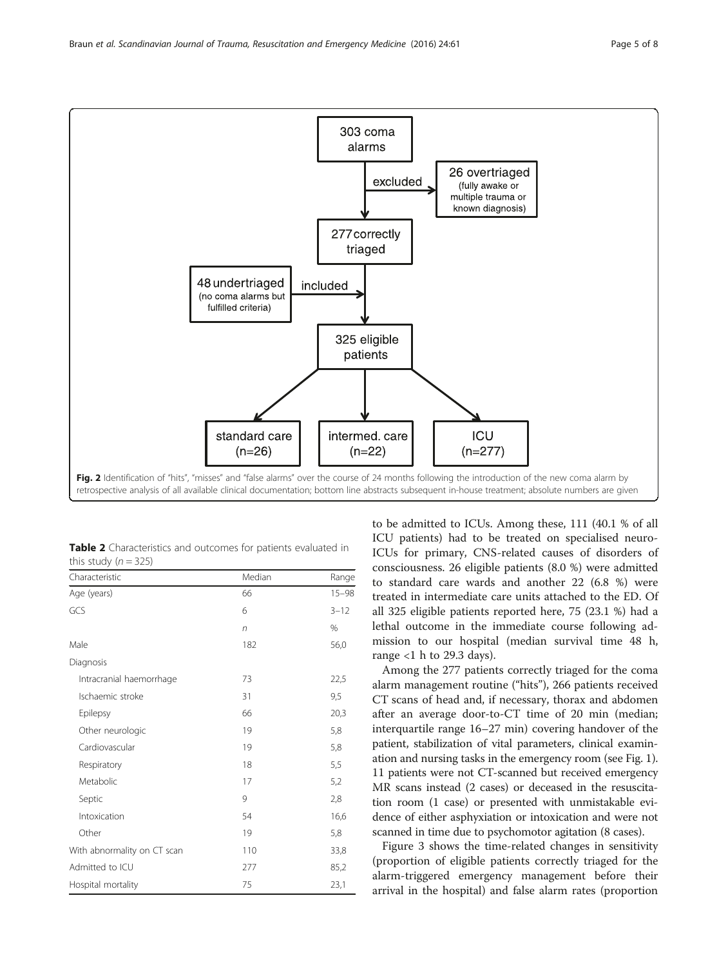<span id="page-4-0"></span>

Table 2 Characteristics and outcomes for patients evaluated in this study  $(n = 325)$ 

| Characteristic              | Median | Range     |
|-----------------------------|--------|-----------|
| Age (years)                 | 66     | $15 - 98$ |
| GCS                         | 6      | $3 - 12$  |
|                             | n      | $\%$      |
| Male                        | 182    | 56,0      |
| Diagnosis                   |        |           |
| Intracranial haemorrhage    | 73     | 22,5      |
| Ischaemic stroke            | 31     | 9,5       |
| Epilepsy                    | 66     | 20,3      |
| Other neurologic            | 19     | 5,8       |
| Cardiovascular              | 19     | 5,8       |
| Respiratory                 | 18     | 5,5       |
| Metabolic                   | 17     | 5,2       |
| Septic                      | 9      | 2,8       |
| Intoxication                | 54     | 16,6      |
| Other                       | 19     | 5,8       |
| With abnormality on CT scan | 110    | 33,8      |
| Admitted to ICU             | 277    | 85,2      |
| Hospital mortality          | 75     | 23,1      |

to be admitted to ICUs. Among these, 111 (40.1 % of all ICU patients) had to be treated on specialised neuro-ICUs for primary, CNS-related causes of disorders of consciousness. 26 eligible patients (8.0 %) were admitted to standard care wards and another 22 (6.8 %) were treated in intermediate care units attached to the ED. Of all 325 eligible patients reported here, 75 (23.1 %) had a lethal outcome in the immediate course following admission to our hospital (median survival time 48 h, range  $<$ 1 h to 29.3 days).

Among the 277 patients correctly triaged for the coma alarm management routine ("hits"), 266 patients received CT scans of head and, if necessary, thorax and abdomen after an average door-to-CT time of 20 min (median; interquartile range 16–27 min) covering handover of the patient, stabilization of vital parameters, clinical examination and nursing tasks in the emergency room (see Fig. [1](#page-2-0)). 11 patients were not CT-scanned but received emergency MR scans instead (2 cases) or deceased in the resuscitation room (1 case) or presented with unmistakable evidence of either asphyxiation or intoxication and were not scanned in time due to psychomotor agitation (8 cases).

Figure [3](#page-5-0) shows the time-related changes in sensitivity (proportion of eligible patients correctly triaged for the alarm-triggered emergency management before their arrival in the hospital) and false alarm rates (proportion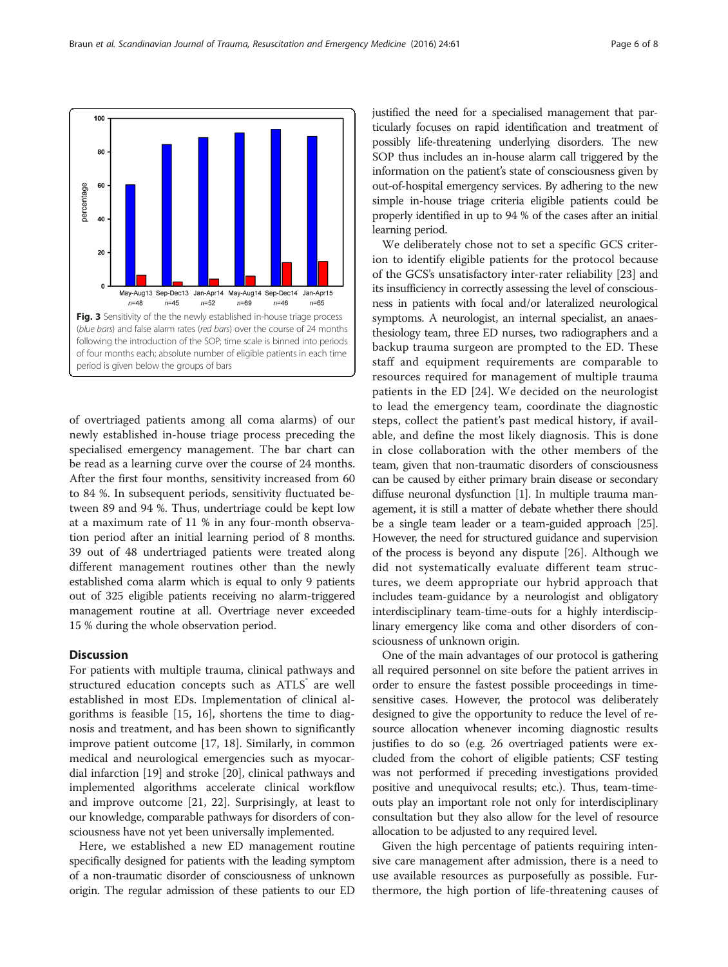<span id="page-5-0"></span>

of overtriaged patients among all coma alarms) of our newly established in-house triage process preceding the specialised emergency management. The bar chart can be read as a learning curve over the course of 24 months. After the first four months, sensitivity increased from 60 to 84 %. In subsequent periods, sensitivity fluctuated between 89 and 94 %. Thus, undertriage could be kept low at a maximum rate of 11 % in any four-month observation period after an initial learning period of 8 months. 39 out of 48 undertriaged patients were treated along different management routines other than the newly established coma alarm which is equal to only 9 patients out of 325 eligible patients receiving no alarm-triggered management routine at all. Overtriage never exceeded 15 % during the whole observation period.

# **Discussion**

For patients with multiple trauma, clinical pathways and structured education concepts such as ATLS<sup>®</sup> are well established in most EDs. Implementation of clinical algorithms is feasible [[15, 16\]](#page-7-0), shortens the time to diagnosis and treatment, and has been shown to significantly improve patient outcome [[17](#page-7-0), [18\]](#page-7-0). Similarly, in common medical and neurological emergencies such as myocardial infarction [\[19\]](#page-7-0) and stroke [\[20\]](#page-7-0), clinical pathways and implemented algorithms accelerate clinical workflow and improve outcome [[21, 22\]](#page-7-0). Surprisingly, at least to our knowledge, comparable pathways for disorders of consciousness have not yet been universally implemented.

Here, we established a new ED management routine specifically designed for patients with the leading symptom of a non-traumatic disorder of consciousness of unknown origin. The regular admission of these patients to our ED justified the need for a specialised management that particularly focuses on rapid identification and treatment of possibly life-threatening underlying disorders. The new SOP thus includes an in-house alarm call triggered by the information on the patient's state of consciousness given by out-of-hospital emergency services. By adhering to the new simple in-house triage criteria eligible patients could be properly identified in up to 94 % of the cases after an initial learning period.

We deliberately chose not to set a specific GCS criterion to identify eligible patients for the protocol because of the GCS's unsatisfactory inter-rater reliability [[23](#page-7-0)] and its insufficiency in correctly assessing the level of consciousness in patients with focal and/or lateralized neurological symptoms. A neurologist, an internal specialist, an anaesthesiology team, three ED nurses, two radiographers and a backup trauma surgeon are prompted to the ED. These staff and equipment requirements are comparable to resources required for management of multiple trauma patients in the ED [[24\]](#page-7-0). We decided on the neurologist to lead the emergency team, coordinate the diagnostic steps, collect the patient's past medical history, if available, and define the most likely diagnosis. This is done in close collaboration with the other members of the team, given that non-traumatic disorders of consciousness can be caused by either primary brain disease or secondary diffuse neuronal dysfunction [[1](#page-6-0)]. In multiple trauma management, it is still a matter of debate whether there should be a single team leader or a team-guided approach [\[25](#page-7-0)]. However, the need for structured guidance and supervision of the process is beyond any dispute [[26\]](#page-7-0). Although we did not systematically evaluate different team structures, we deem appropriate our hybrid approach that includes team-guidance by a neurologist and obligatory interdisciplinary team-time-outs for a highly interdisciplinary emergency like coma and other disorders of consciousness of unknown origin.

One of the main advantages of our protocol is gathering all required personnel on site before the patient arrives in order to ensure the fastest possible proceedings in timesensitive cases. However, the protocol was deliberately designed to give the opportunity to reduce the level of resource allocation whenever incoming diagnostic results justifies to do so (e.g. 26 overtriaged patients were excluded from the cohort of eligible patients; CSF testing was not performed if preceding investigations provided positive and unequivocal results; etc.). Thus, team-timeouts play an important role not only for interdisciplinary consultation but they also allow for the level of resource allocation to be adjusted to any required level.

Given the high percentage of patients requiring intensive care management after admission, there is a need to use available resources as purposefully as possible. Furthermore, the high portion of life-threatening causes of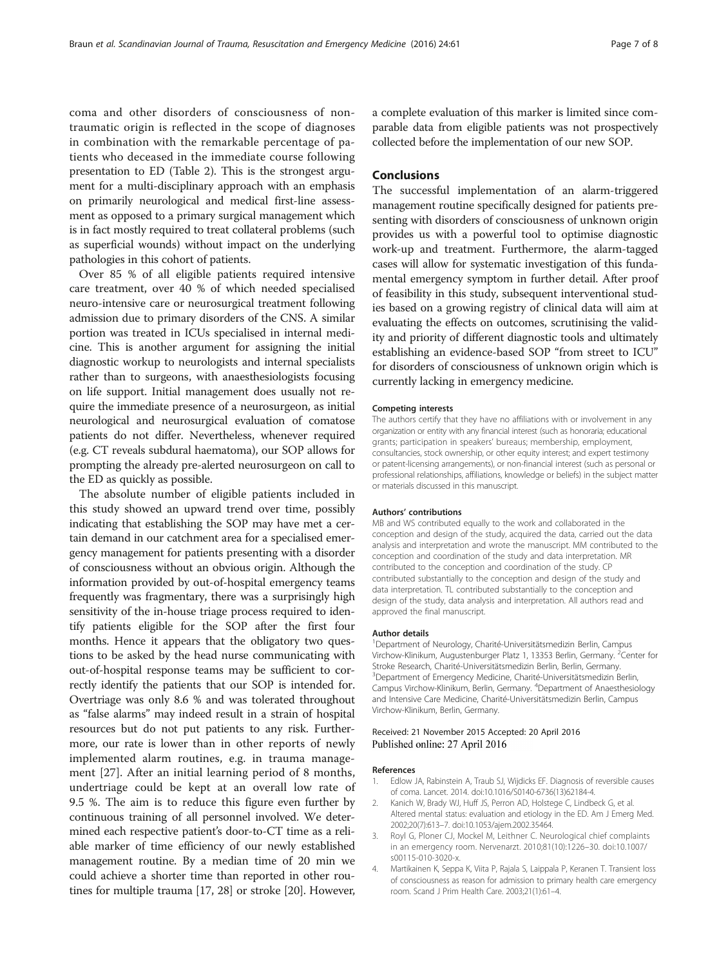<span id="page-6-0"></span>coma and other disorders of consciousness of nontraumatic origin is reflected in the scope of diagnoses in combination with the remarkable percentage of patients who deceased in the immediate course following presentation to ED (Table [2](#page-4-0)). This is the strongest argument for a multi-disciplinary approach with an emphasis on primarily neurological and medical first-line assessment as opposed to a primary surgical management which is in fact mostly required to treat collateral problems (such as superficial wounds) without impact on the underlying pathologies in this cohort of patients.

Over 85 % of all eligible patients required intensive care treatment, over 40 % of which needed specialised neuro-intensive care or neurosurgical treatment following admission due to primary disorders of the CNS. A similar portion was treated in ICUs specialised in internal medicine. This is another argument for assigning the initial diagnostic workup to neurologists and internal specialists rather than to surgeons, with anaesthesiologists focusing on life support. Initial management does usually not require the immediate presence of a neurosurgeon, as initial neurological and neurosurgical evaluation of comatose patients do not differ. Nevertheless, whenever required (e.g. CT reveals subdural haematoma), our SOP allows for prompting the already pre-alerted neurosurgeon on call to the ED as quickly as possible.

The absolute number of eligible patients included in this study showed an upward trend over time, possibly indicating that establishing the SOP may have met a certain demand in our catchment area for a specialised emergency management for patients presenting with a disorder of consciousness without an obvious origin. Although the information provided by out-of-hospital emergency teams frequently was fragmentary, there was a surprisingly high sensitivity of the in-house triage process required to identify patients eligible for the SOP after the first four months. Hence it appears that the obligatory two questions to be asked by the head nurse communicating with out-of-hospital response teams may be sufficient to correctly identify the patients that our SOP is intended for. Overtriage was only 8.6 % and was tolerated throughout as "false alarms" may indeed result in a strain of hospital resources but do not put patients to any risk. Furthermore, our rate is lower than in other reports of newly implemented alarm routines, e.g. in trauma management [[27\]](#page-7-0). After an initial learning period of 8 months, undertriage could be kept at an overall low rate of 9.5 %. The aim is to reduce this figure even further by continuous training of all personnel involved. We determined each respective patient's door-to-CT time as a reliable marker of time efficiency of our newly established management routine. By a median time of 20 min we could achieve a shorter time than reported in other routines for multiple trauma [\[17](#page-7-0), [28\]](#page-7-0) or stroke [[20](#page-7-0)]. However,

a complete evaluation of this marker is limited since comparable data from eligible patients was not prospectively collected before the implementation of our new SOP.

# Conclusions

The successful implementation of an alarm-triggered management routine specifically designed for patients presenting with disorders of consciousness of unknown origin provides us with a powerful tool to optimise diagnostic work-up and treatment. Furthermore, the alarm-tagged cases will allow for systematic investigation of this fundamental emergency symptom in further detail. After proof of feasibility in this study, subsequent interventional studies based on a growing registry of clinical data will aim at evaluating the effects on outcomes, scrutinising the validity and priority of different diagnostic tools and ultimately establishing an evidence-based SOP "from street to ICU" for disorders of consciousness of unknown origin which is currently lacking in emergency medicine.

#### Competing interests

The authors certify that they have no affiliations with or involvement in any organization or entity with any financial interest (such as honoraria; educational grants; participation in speakers' bureaus; membership, employment, consultancies, stock ownership, or other equity interest; and expert testimony or patent-licensing arrangements), or non-financial interest (such as personal or professional relationships, affiliations, knowledge or beliefs) in the subject matter or materials discussed in this manuscript.

#### Authors' contributions

MB and WS contributed equally to the work and collaborated in the conception and design of the study, acquired the data, carried out the data analysis and interpretation and wrote the manuscript. MM contributed to the conception and coordination of the study and data interpretation. MR contributed to the conception and coordination of the study. CP contributed substantially to the conception and design of the study and data interpretation. TL contributed substantially to the conception and design of the study, data analysis and interpretation. All authors read and approved the final manuscript.

#### Author details

<sup>1</sup>Department of Neurology, Charité-Universitätsmedizin Berlin, Campus Virchow-Klinikum, Augustenburger Platz 1, 13353 Berlin, Germany. <sup>2</sup>Center for Stroke Research, Charité-Universitätsmedizin Berlin, Berlin, Germany. 3 Department of Emergency Medicine, Charité-Universitätsmedizin Berlin, Campus Virchow-Klinikum, Berlin, Germany. <sup>4</sup> Department of Anaesthesiology and Intensive Care Medicine, Charité-Universitätsmedizin Berlin, Campus Virchow-Klinikum, Berlin, Germany.

#### Received: 21 November 2015 Accepted: 20 April 2016 Published online: 27 April 2016

#### References

- 1. Edlow JA, Rabinstein A, Traub SJ, Wijdicks EF. Diagnosis of reversible causes of coma. Lancet. 2014. doi[:10.1016/S0140-6736\(13\)62184-4.](http://dx.doi.org/10.1016/S0140-6736(13)62184-4)
- 2. Kanich W, Brady WJ, Huff JS, Perron AD, Holstege C, Lindbeck G, et al. Altered mental status: evaluation and etiology in the ED. Am J Emerg Med. 2002;20(7):613–7. doi:[10.1053/ajem.2002.35464.](http://dx.doi.org/10.1053/ajem.2002.35464)
- 3. Royl G, Ploner CJ, Mockel M, Leithner C. Neurological chief complaints in an emergency room. Nervenarzt. 2010;81(10):1226–30. doi[:10.1007/](http://dx.doi.org/10.1007/s00115-010-3020-x) [s00115-010-3020-x.](http://dx.doi.org/10.1007/s00115-010-3020-x)
- 4. Martikainen K, Seppa K, Viita P, Rajala S, Laippala P, Keranen T. Transient loss of consciousness as reason for admission to primary health care emergency room. Scand J Prim Health Care. 2003;21(1):61–4.